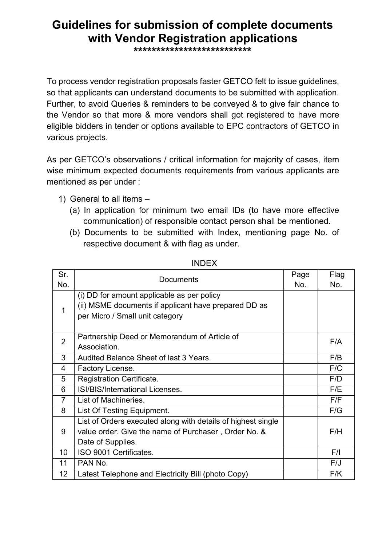## **Guidelines for submission of complete documents with Vendor Registration applications**

**\*\*\*\*\*\*\*\*\*\*\*\*\*\*\*\*\*\*\*\*\*\*\*\*\*\***

To process vendor registration proposals faster GETCO felt to issue guidelines, so that applicants can understand documents to be submitted with application. Further, to avoid Queries & reminders to be conveyed & to give fair chance to the Vendor so that more & more vendors shall got registered to have more eligible bidders in tender or options available to EPC contractors of GETCO in various projects.

As per GETCO's observations / critical information for majority of cases, item wise minimum expected documents requirements from various applicants are mentioned as per under :

- 1) General to all items
	- (a) In application for minimum two email IDs (to have more effective communication) of responsible contact person shall be mentioned.
	- (b) Documents to be submitted with Index, mentioning page No. of respective document & with flag as under.

| Sr.             | <b>Documents</b>                                             | Page | Flag |
|-----------------|--------------------------------------------------------------|------|------|
| No.             |                                                              | No.  | No.  |
| 1               | (i) DD for amount applicable as per policy                   |      |      |
|                 | (ii) MSME documents if applicant have prepared DD as         |      |      |
|                 | per Micro / Small unit category                              |      |      |
|                 |                                                              |      |      |
| $\overline{2}$  | Partnership Deed or Memorandum of Article of                 |      | F/A  |
|                 | Association.                                                 |      |      |
| 3               | Audited Balance Sheet of last 3 Years.                       |      | F/B  |
| 4               | Factory License.                                             |      | F/C  |
| 5               | <b>Registration Certificate.</b>                             |      | F/D  |
| 6               | ISI/BIS/International Licenses.                              |      | F/E  |
| $\overline{7}$  | List of Machineries.                                         |      | F/F  |
| 8               | List Of Testing Equipment.                                   |      | F/G  |
| 9               | List of Orders executed along with details of highest single |      |      |
|                 | value order. Give the name of Purchaser, Order No. &         |      | F/H  |
|                 | Date of Supplies.                                            |      |      |
| 10              | ISO 9001 Certificates.                                       |      | F/I  |
| 11              | PAN No.                                                      |      | F/J  |
| 12 <sub>2</sub> | Latest Telephone and Electricity Bill (photo Copy)           |      | F/K  |

INDEX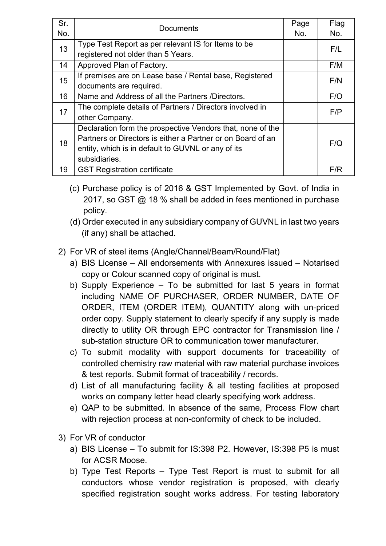| Sr. | <b>Documents</b>                                            | Page | Flag |
|-----|-------------------------------------------------------------|------|------|
| No. |                                                             | No.  | No.  |
| 13  | Type Test Report as per relevant IS for Items to be         |      | F/L  |
|     | registered not older than 5 Years.                          |      |      |
| 14  | Approved Plan of Factory.                                   |      | F/M  |
| 15  | If premises are on Lease base / Rental base, Registered     |      | F/N  |
|     | documents are required.                                     |      |      |
| 16  | Name and Address of all the Partners /Directors.            |      | F/O  |
| 17  | The complete details of Partners / Directors involved in    |      | F/P  |
|     | other Company.                                              |      |      |
| 18  | Declaration form the prospective Vendors that, none of the  |      | F/Q  |
|     | Partners or Directors is either a Partner or on Board of an |      |      |
|     | entity, which is in default to GUVNL or any of its          |      |      |
|     | subsidiaries.                                               |      |      |
| 19  | <b>GST Registration certificate</b>                         |      | F/R  |

- (c) Purchase policy is of 2016 & GST Implemented by Govt. of India in 2017, so GST @ 18 % shall be added in fees mentioned in purchase policy.
- (d) Order executed in any subsidiary company of GUVNL in last two years (if any) shall be attached.
- 2) For VR of steel items (Angle/Channel/Beam/Round/Flat)
	- a) BIS License All endorsements with Annexures issued Notarised copy or Colour scanned copy of original is must.
	- b) Supply Experience To be submitted for last 5 years in format including NAME OF PURCHASER, ORDER NUMBER, DATE OF ORDER, ITEM (ORDER ITEM), QUANTITY along with un-priced order copy. Supply statement to clearly specify if any supply is made directly to utility OR through EPC contractor for Transmission line / sub-station structure OR to communication tower manufacturer.
	- c) To submit modality with support documents for traceability of controlled chemistry raw material with raw material purchase invoices & test reports. Submit format of traceability / records.
	- d) List of all manufacturing facility & all testing facilities at proposed works on company letter head clearly specifying work address.
	- e) QAP to be submitted. In absence of the same, Process Flow chart with rejection process at non-conformity of check to be included.
- 3) For VR of conductor
	- a) BIS License To submit for IS:398 P2. However, IS:398 P5 is must for ACSR Moose.
	- b) Type Test Reports Type Test Report is must to submit for all conductors whose vendor registration is proposed, with clearly specified registration sought works address. For testing laboratory